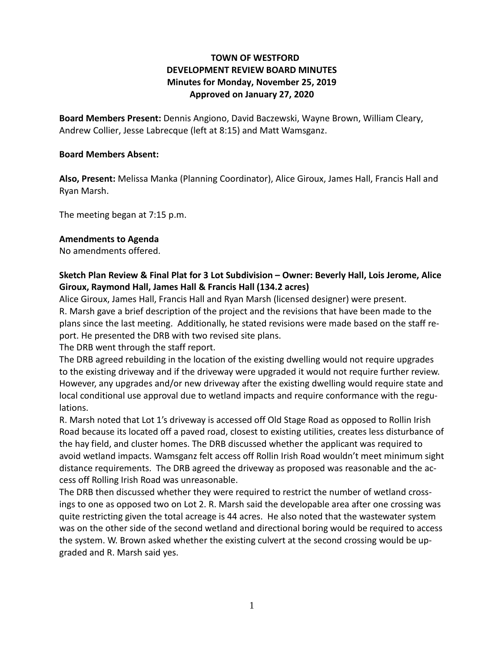# **TOWN OF WESTFORD DEVELOPMENT REVIEW BOARD MINUTES Minutes for Monday, November 25, 2019 Approved on January 27, 2020**

**Board Members Present:** Dennis Angiono, David Baczewski, Wayne Brown, William Cleary, Andrew Collier, Jesse Labrecque (left at 8:15) and Matt Wamsganz.

#### **Board Members Absent:**

**Also, Present:** Melissa Manka (Planning Coordinator), Alice Giroux, James Hall, Francis Hall and Ryan Marsh.

The meeting began at 7:15 p.m.

#### **Amendments to Agenda**

No amendments offered.

## **Sketch Plan Review & Final Plat for 3 Lot Subdivision – Owner: Beverly Hall, Lois Jerome, Alice Giroux, Raymond Hall, James Hall & Francis Hall (134.2 acres)**

Alice Giroux, James Hall, Francis Hall and Ryan Marsh (licensed designer) were present. R. Marsh gave a brief description of the project and the revisions that have been made to the plans since the last meeting. Additionally, he stated revisions were made based on the staff report. He presented the DRB with two revised site plans.

The DRB went through the staff report.

The DRB agreed rebuilding in the location of the existing dwelling would not require upgrades to the existing driveway and if the driveway were upgraded it would not require further review. However, any upgrades and/or new driveway after the existing dwelling would require state and local conditional use approval due to wetland impacts and require conformance with the regulations.

R. Marsh noted that Lot 1's driveway is accessed off Old Stage Road as opposed to Rollin Irish Road because its located off a paved road, closest to existing utilities, creates less disturbance of the hay field, and cluster homes. The DRB discussed whether the applicant was required to avoid wetland impacts. Wamsganz felt access off Rollin Irish Road wouldn't meet minimum sight distance requirements. The DRB agreed the driveway as proposed was reasonable and the access off Rolling Irish Road was unreasonable.

The DRB then discussed whether they were required to restrict the number of wetland crossings to one as opposed two on Lot 2. R. Marsh said the developable area after one crossing was quite restricting given the total acreage is 44 acres. He also noted that the wastewater system was on the other side of the second wetland and directional boring would be required to access the system. W. Brown asked whether the existing culvert at the second crossing would be upgraded and R. Marsh said yes.